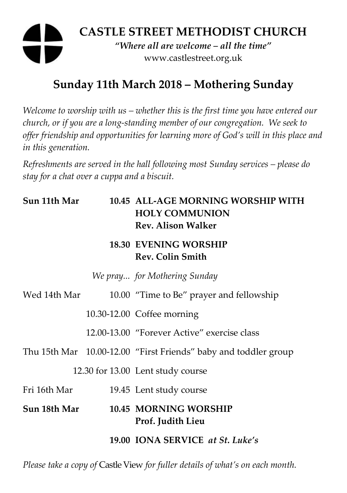# **CASTLE STREET METHODIST CHURCH**  *"Where all are welcome – all the time"*  www.castlestreet.org.uk

# **Sunday 11th March 2018 – Mothering Sunday**

*Welcome to worship with us – whether this is the first time you have entered our church, or if you are a long-standing member of our congregation. We seek to offer friendship and opportunities for learning more of God's will in this place and in this generation.* 

*Refreshments are served in the hall following most Sunday services – please do stay for a chat over a cuppa and a biscuit.* 

| Sun 11th Mar |  | 10.45 ALL-AGE MORNING WORSHIP WITH<br><b>HOLY COMMUNION</b><br><b>Rev. Alison Walker</b> |
|--------------|--|------------------------------------------------------------------------------------------|
|              |  | <b>18.30 EVENING WORSHIP</b><br><b>Rev. Colin Smith</b>                                  |
|              |  | We pray for Mothering Sunday                                                             |
| Wed 14th Mar |  | 10.00 "Time to Be" prayer and fellowship                                                 |
|              |  | 10.30-12.00 Coffee morning                                                               |
|              |  | 12.00-13.00 "Forever Active" exercise class                                              |
|              |  | Thu 15th Mar 10.00-12.00 "First Friends" baby and toddler group                          |
|              |  | 12.30 for 13.00 Lent study course                                                        |
| Fri 16th Mar |  | 19.45 Lent study course                                                                  |
| Sun 18th Mar |  | 10.45 MORNING WORSHIP<br>Prof. Judith Lieu                                               |
|              |  | 19.00 IONA SERVICE at St. Luke's                                                         |

*Please take a copy of* Castle View *for fuller details of what's on each month.*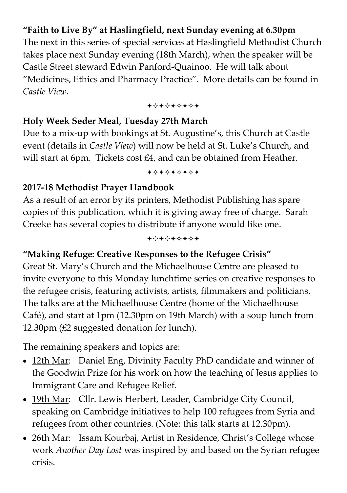## **"Faith to Live By" at Haslingfield, next Sunday evening at 6.30pm**

The next in this series of special services at Haslingfield Methodist Church takes place next Sunday evening (18th March), when the speaker will be Castle Street steward Edwin Panford-Quainoo. He will talk about "Medicines, Ethics and Pharmacy Practice". More details can be found in *Castle View*.

+\*\*\*\*\*\*\*

#### **Holy Week Seder Meal, Tuesday 27th March**

Due to a mix-up with bookings at St. Augustine's, this Church at Castle event (details in *Castle View*) will now be held at St. Luke's Church, and will start at 6pm. Tickets cost £4, and can be obtained from Heather.

+\*\*\*\*\*\*\*

## **2017-18 Methodist Prayer Handbook**

As a result of an error by its printers, Methodist Publishing has spare copies of this publication, which it is giving away free of charge. Sarah Creeke has several copies to distribute if anyone would like one.

+\*\*\*\*\*\*\*

## **"Making Refuge: Creative Responses to the Refugee Crisis"**

Great St. Mary's Church and the Michaelhouse Centre are pleased to invite everyone to this Monday lunchtime series on creative responses to the refugee crisis, featuring activists, artists, filmmakers and politicians. The talks are at the Michaelhouse Centre (home of the Michaelhouse Café), and start at 1pm (12.30pm on 19th March) with a soup lunch from 12.30pm (£2 suggested donation for lunch).

The remaining speakers and topics are:

- 12th Mar: Daniel Eng, Divinity Faculty PhD candidate and winner of the Goodwin Prize for his work on how the teaching of Jesus applies to Immigrant Care and Refugee Relief.
- 19th Mar: Cllr. Lewis Herbert, Leader, Cambridge City Council, speaking on Cambridge initiatives to help 100 refugees from Syria and refugees from other countries. (Note: this talk starts at 12.30pm).
- 26th Mar: Issam Kourbaj, Artist in Residence, Christ's College whose work *Another Day Lost* was inspired by and based on the Syrian refugee crisis.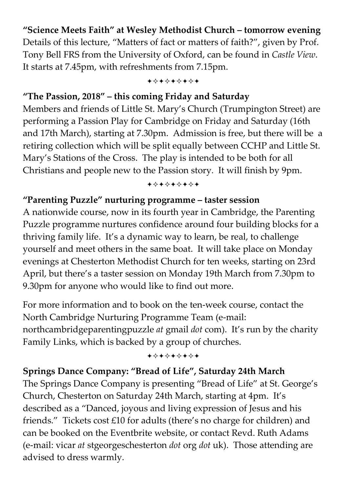## **"Science Meets Faith" at Wesley Methodist Church – tomorrow evening**

Details of this lecture, "Matters of fact or matters of faith?", given by Prof. Tony Bell FRS from the University of Oxford, can be found in *Castle View*. It starts at 7.45pm, with refreshments from 7.15pm.

+\*\*\*\*\*\*\*

#### **"The Passion, 2018" – this coming Friday and Saturday**

Members and friends of Little St. Mary's Church (Trumpington Street) are performing a Passion Play for Cambridge on Friday and Saturday (16th and 17th March), starting at 7.30pm. Admission is free, but there will be a retiring collection which will be split equally between CCHP and Little St. Mary's Stations of the Cross. The play is intended to be both for all Christians and people new to the Passion story. It will finish by 9pm.

+\*\*\*\*\*\*\*

#### **"Parenting Puzzle" nurturing programme – taster session**

A nationwide course, now in its fourth year in Cambridge, the Parenting Puzzle programme nurtures confidence around four building blocks for a thriving family life. It's a dynamic way to learn, be real, to challenge yourself and meet others in the same boat. It will take place on Monday evenings at Chesterton Methodist Church for ten weeks, starting on 23rd April, but there's a taster session on Monday 19th March from 7.30pm to 9.30pm for anyone who would like to find out more.

For more information and to book on the ten-week course, contact the North Cambridge Nurturing Programme Team (e-mail: northcambridgeparentingpuzzle *at* gmail *dot* com). It's run by the charity Family Links, which is backed by a group of churches.

#### +\*\*\*\*\*\*\*

### **Springs Dance Company: "Bread of Life", Saturday 24th March**

The Springs Dance Company is presenting "Bread of Life" at St. George's Church, Chesterton on Saturday 24th March, starting at 4pm. It's described as a "Danced, joyous and living expression of Jesus and his friends." Tickets cost £10 for adults (there's no charge for children) and can be booked on the Eventbrite website, or contact Revd. Ruth Adams (e-mail: vicar *at* stgeorgeschesterton *dot* org *dot* uk). Those attending are advised to dress warmly.